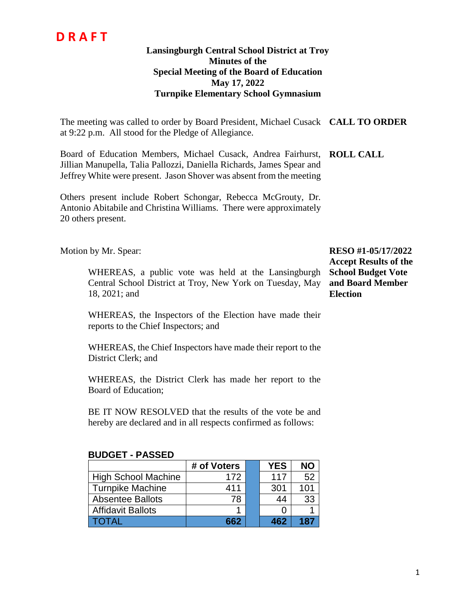# **D R A F T**

#### **Lansingburgh Central School District at Troy Minutes of the Special Meeting of the Board of Education May 17, 2022 Turnpike Elementary School Gymnasium**

The meeting was called to order by Board President, Michael Cusack **CALL TO ORDER** at 9:22 p.m. All stood for the Pledge of Allegiance.

Board of Education Members, Michael Cusack, Andrea Fairhurst, **ROLL CALL** Jillian Manupella, Talia Pallozzi, Daniella Richards, James Spear and Jeffrey White were present. Jason Shover was absent from the meeting

Others present include Robert Schongar, Rebecca McGrouty, Dr. Antonio Abitabile and Christina Williams. There were approximately 20 others present.

Motion by Mr. Spear:

WHEREAS, a public vote was held at the Lansingburgh Central School District at Troy, New York on Tuesday, May 18, 2021; and

WHEREAS, the Inspectors of the Election have made their reports to the Chief Inspectors; and

WHEREAS, the Chief Inspectors have made their report to the District Clerk; and

WHEREAS, the District Clerk has made her report to the Board of Education;

BE IT NOW RESOLVED that the results of the vote be and hereby are declared and in all respects confirmed as follows:

| 8000LI - I AOOLD           |             |            |           |
|----------------------------|-------------|------------|-----------|
|                            | # of Voters | <b>YES</b> | <b>NO</b> |
| <b>High School Machine</b> | 172         | 117        | 52        |
| <b>Turnpike Machine</b>    | 411         | 301        | 101       |
| <b>Absentee Ballots</b>    | 78          | 44         | 33        |
| <b>Affidavit Ballots</b>   |             |            |           |
|                            | 662         | 462        | 187       |

#### **BUDGET - PASSED**

## **RESO #1-05/17/2022 Accept Results of the School Budget Vote and Board Member Election**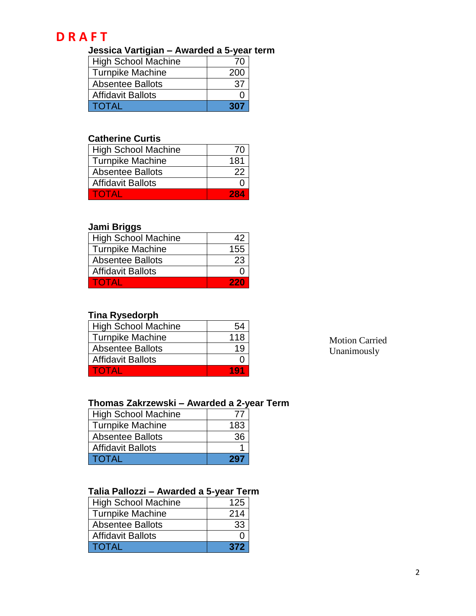# **D R A F T**

## **Jessica Vartigian – Awarded a 5-year term**

| <b>High School Machine</b> | -76 |
|----------------------------|-----|
| <b>Turnpike Machine</b>    | 200 |
| <b>Absentee Ballots</b>    | 37  |
| <b>Affidavit Ballots</b>   |     |
| <b>TOTAL</b>               |     |

## **Catherine Curtis**

| <b>High School Machine</b> | 70  |
|----------------------------|-----|
| <b>Turnpike Machine</b>    | 181 |
| <b>Absentee Ballots</b>    | つつ  |
| <b>Affidavit Ballots</b>   |     |
| TOTAL                      | 284 |

# **Jami Briggs**

| <b>High School Machine</b> | Δ9   |
|----------------------------|------|
| <b>Turnpike Machine</b>    | 155  |
| <b>Absentee Ballots</b>    | 23   |
| <b>Affidavit Ballots</b>   |      |
| TOTAL                      | 22 N |

## **Tina Rysedorph**

| <b>High School Machine</b> | -54 |
|----------------------------|-----|
| <b>Turnpike Machine</b>    | 118 |
| <b>Absentee Ballots</b>    | 1 Q |
| <b>Affidavit Ballots</b>   |     |
| TOTAL                      | 101 |

Motion Carried Unanimously

## **Thomas Zakrzewski – Awarded a 2-year Term**

| <b>High School Machine</b> | 77   |
|----------------------------|------|
| <b>Turnpike Machine</b>    | 183  |
| <b>Absentee Ballots</b>    | 36   |
| <b>Affidavit Ballots</b>   |      |
| <b>TOTAL</b>               | 74 Z |

## **Talia Pallozzi – Awarded a 5-year Term**

| <b>High School Machine</b> | 125 |
|----------------------------|-----|
| <b>Turnpike Machine</b>    | 214 |
| <b>Absentee Ballots</b>    | 33  |
| <b>Affidavit Ballots</b>   |     |
| <b>TOTAL</b>               | 372 |